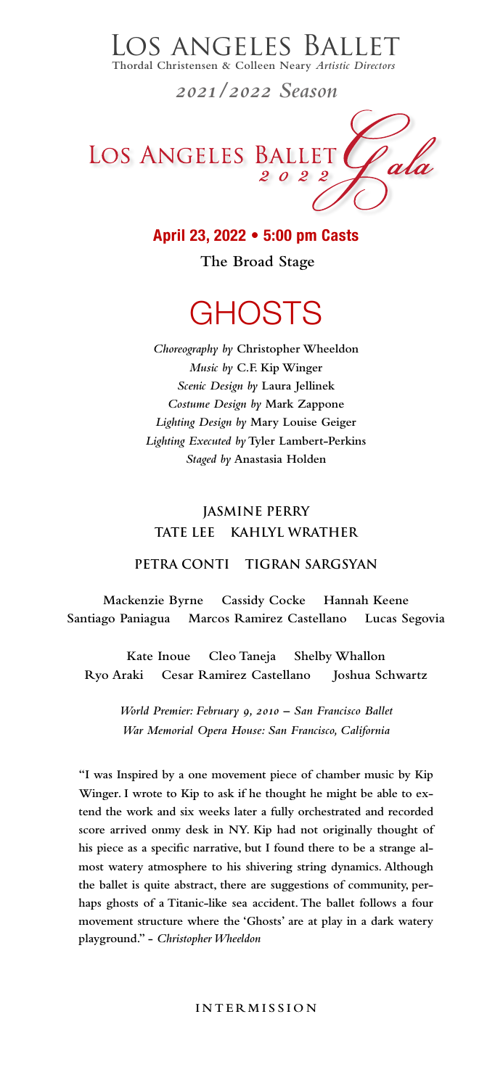*Choreography by* **Christopher Wheeldon** *Music by* **C.F. Kip Winger**  *Scenic Design by* **Laura Jellinek** *Costume Design by* **Mark Zappone** *Lighting Design by* **Mary Louise Geiger**  *Lighting Executed by* **Tyler Lambert-Perkins** *Staged by* **Anastasia Holden**

## **JASMINE PERRY TATE LEE KAHLYL WRATHER**

#### **PETRA CONTI TIGRAN SARGSYAN**

**Mackenzie Byrne Cassidy Cocke Hannah Keene Santiago Paniagua Marcos Ramirez Castellano Lucas Segovia** 

**Kate Inoue Cleo Taneja Shelby Whallon Ryo Araki Cesar Ramirez Castellano Joshua Schwartz**

> *World Premier: February 9, 2010 – San Francisco Ballet War Memorial Opera House: San Francisco, California*

## LOS ANGELES BALLET

 **Thordal Christensen & Colleen Neary** *Artistic Directors*

*2021/2022 Season*

LOS ANGELES BALLET

## **April 23, 2022 • 5:00 pm Casts**

 **The Broad Stage**

# **GHOSTS**

**"I was Inspired by a one movement piece of chamber music by Kip Winger. I wrote to Kip to ask if he thought he might be able to ex-**

**tend the work and six weeks later a fully orchestrated and recorded score arrived onmy desk in NY. Kip had not originally thought of his piece as a specific narrative, but I found there to be a strange almost watery atmosphere to his shivering string dynamics. Although the ballet is quite abstract, there are suggestions of community, perhaps ghosts of a Titanic-like sea accident. The ballet follows a four movement structure where the 'Ghosts' are at play in a dark watery playground." -** *Christopher Wheeldon*

#### **INTERMISSION**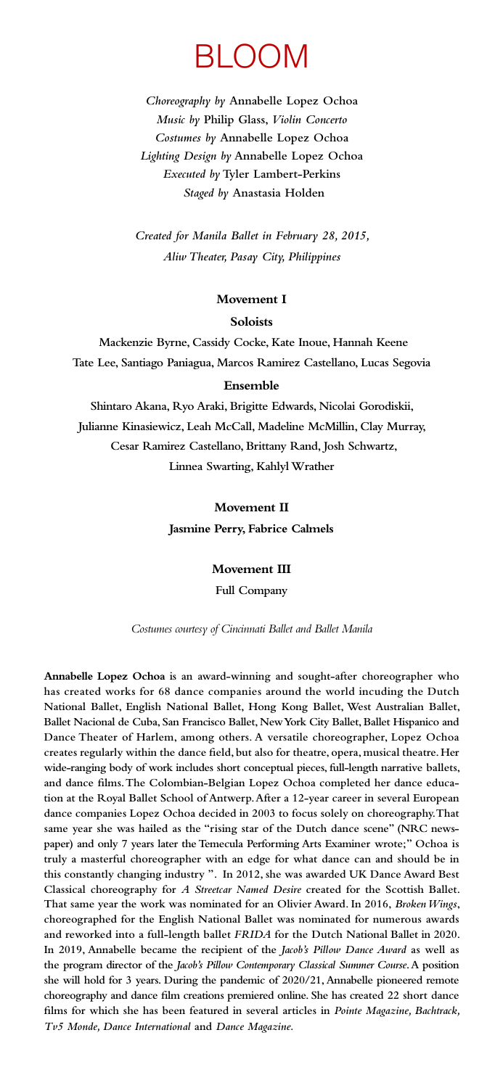# BLOOM

*Choreography by* **Annabelle Lopez Ochoa** *Music by* **Philip Glass,** *Violin Concerto Costumes by* **Annabelle Lopez Ochoa**  *Lighting Design by* **Annabelle Lopez Ochoa** *Executed by* **Tyler Lambert-Perkins** *Staged by* **Anastasia Holden**

*Created for Manila Ballet in February 28, 2015, Aliw Theater, Pasay City, Philippines*

#### **Movement I**

#### **Soloists**

 **Mackenzie Byrne, Cassidy Cocke, Kate Inoue, Hannah Keene Tate Lee, Santiago Paniagua, Marcos Ramirez Castellano, Lucas Segovia**

#### **Ensemble**

**Shintaro Akana, Ryo Araki, Brigitte Edwards, Nicolai Gorodiskii, Julianne Kinasiewicz, Leah McCall, Madeline McMillin, Clay Murray, Cesar Ramirez Castellano, Brittany Rand, Josh Schwartz, Linnea Swarting, Kahlyl Wrather**

**Movement II**

**Jasmine Perry, Fabrice Calmels**

**Movement III**

**Full Company**

*Costumes courtesy of Cincinnati Ballet and Ballet Manila*

**Annabelle Lopez Ochoa is an award-winning and sought-after choreographer who has created works for 68 dance companies around the world incuding the Dutch National Ballet, English National Ballet, Hong Kong Ballet, West Australian Ballet, Ballet Nacional de Cuba, San Francisco Ballet, New York City Ballet, Ballet Hispanico and Dance Theater of Harlem, among others. A versatile choreographer, Lopez Ochoa creates regularly within the dance field, but also for theatre, opera, musical theatre. Her wide-ranging body of work includes short conceptual pieces, full-length narrative ballets, and dance films. The Colombian-Belgian Lopez Ochoa completed her dance education at the Royal Ballet School of Antwerp. After a 12-year career in several European dance companies Lopez Ochoa decided in 2003 to focus solely on choreography. That same year she was hailed as the "rising star of the Dutch dance scene" (NRC newspaper) and only 7 years later the Temecula Performing Arts Examiner wrote;" Ochoa is truly a masterful choreographer with an edge for what dance can and should be in this constantly changing industry ". In 2012, she was awarded UK Dance Award Best Classical choreography for** *A Streetcar Named Desire* **created for the Scottish Ballet. That same year the work was nominated for an Olivier Award. In 2016,** *Broken Wings***, choreographed for the English National Ballet was nominated for numerous awards and reworked into a full-length ballet** *FRIDA* **for the Dutch National Ballet in 2020. In 2019, Annabelle became the recipient of the** *Jacob's Pillow Dance Award* **as well as the program director of the** *Jacob's Pillow Contemporary Classical Summer Course***. A position she will hold for 3 years. During the pandemic of 2020/21, Annabelle pioneered remote choreography and dance film creations premiered online. She has created 22 short dance films for which she has been featured in several articles in** *Pointe Magazine, Bachtrack, Tv5 Monde, Dance International* **and** *Dance Magazine.*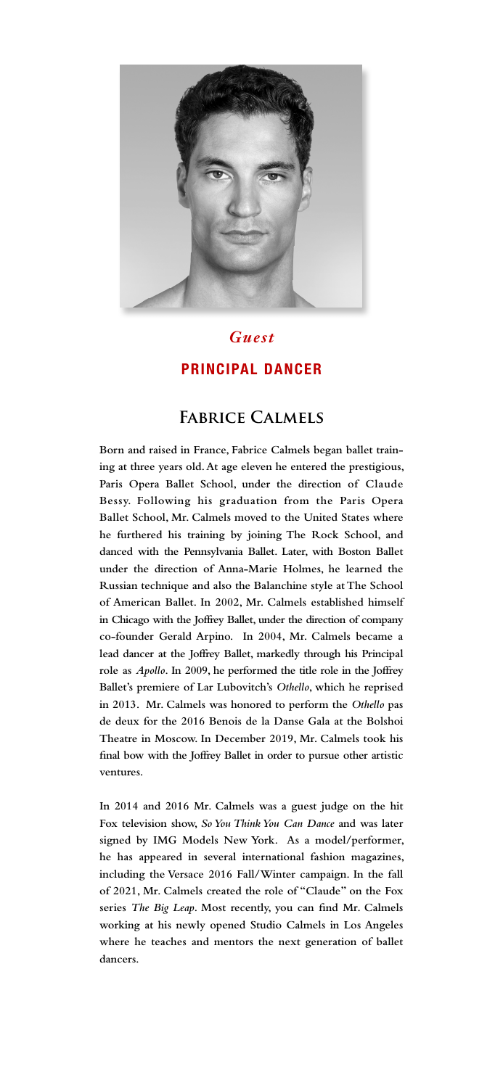

*Guest*

## **PRINCIPAL DANCER**

## **Fabrice Calmels**

**Born and raised in France, Fabrice Calmels began ballet training at three years old. At age eleven he entered the prestigious, Paris Opera Ballet School, under the direction of Claude Bessy. Following his graduation from the Paris Opera Ballet School, Mr. Calmels moved to the United States where he furthered his training by joining The Rock School, and danced with the Pennsylvania Ballet. Later, with Boston Ballet under the direction of Anna-Marie Holmes, he learned the Russian technique and also the Balanchine style at The School of American Ballet. In 2002, Mr. Calmels established himself in Chicago with the Joffrey Ballet, under the direction of company co-founder Gerald Arpino. In 2004, Mr. Calmels became a lead dancer at the Joffrey Ballet, markedly through his Principal role as** *Apollo***. In 2009, he performed the title role in the Joffrey Ballet's premiere of Lar Lubovitch's** *Othello***, which he reprised in 2013. Mr. Calmels was honored to perform the** *Othello* **pas de deux for the 2016 Benois de la Danse Gala at the Bolshoi Theatre in Moscow. In December 2019, Mr. Calmels took his final bow with the Joffrey Ballet in order to pursue other artistic ventures.**

**In 2014 and 2016 Mr. Calmels was a guest judge on the hit Fox television show,** *So You Think You Can Dance* **and was later signed by IMG Models New York. As a model/performer, he has appeared in several international fashion magazines, including the Versace 2016 Fall/Winter campaign. In the fall of 2021, Mr. Calmels created the role of "Claude" on the Fox series** *The Big Leap***. Most recently, you can find Mr. Calmels working at his newly opened Studio Calmels in Los Angeles where he teaches and mentors the next generation of ballet dancers.**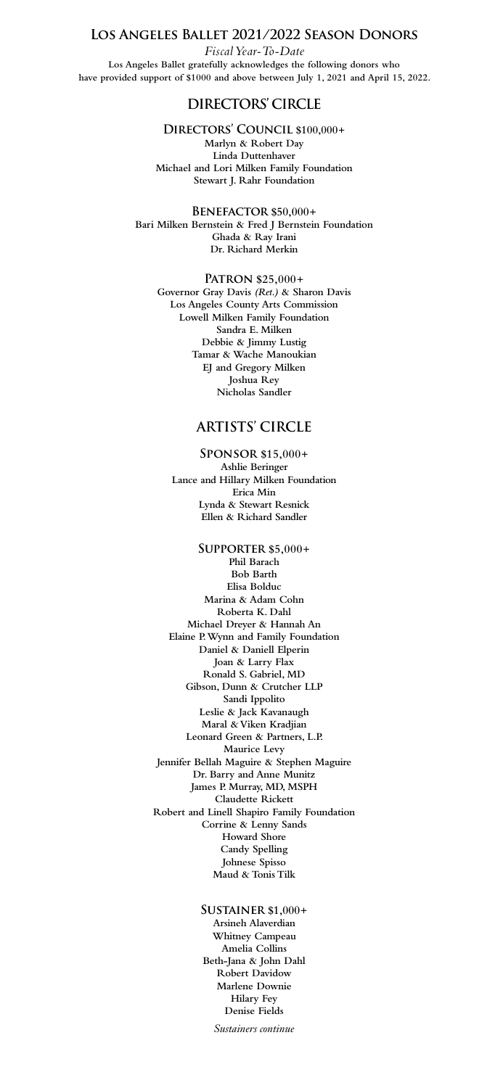*Sustainers continue*

## **Los Angeles Ballet 2021/2022 Season Donors**  *Fiscal Year-To-Date*  **Los Angeles Ballet gratefully acknowledges the following donors who**

**have provided support of \$1000 and above between July 1, 2021 and April 15, 2022.**

## DIRECTORS' CIRCLE

#### **Directors' Council \$100,000+**

**Marlyn & Robert Day Linda Duttenhaver Michael and Lori Milken Family Foundation Stewart J. Rahr Foundation**

#### **Benefactor \$50,000+**

**Bari Milken Bernstein & Fred J Bernstein Foundation Ghada & Ray Irani Dr. Richard Merkin**

**Patron \$25,000+ Governor Gray Davis** *(Ret.)* **& Sharon Davis Los Angeles County Arts Commission Lowell Milken Family Foundation Sandra E. Milken Debbie & Jimmy Lustig Tamar & Wache Manoukian EJ and Gregory Milken Joshua Rey Nicholas Sandler**

## **artists' circle**

#### **Sponsor \$15,000+**

**Ashlie Beringer Lance and Hillary Milken Foundation Erica Min Lynda & Stewart Resnick Ellen & Richard Sandler**

**Supporter \$5,000+ Phil Barach Bob Barth Elisa Bolduc Marina & Adam Cohn Roberta K. Dahl Michael Dreyer & Hannah An Elaine P. Wynn and Family Foundation Daniel & Daniell Elperin Joan & Larry Flax Ronald S. Gabriel, MD Gibson, Dunn & Crutcher LLP Sandi Ippolito Leslie & Jack Kavanaugh Maral & Viken Kradjian Leonard Green & Partners, L.P. Maurice Levy Jennifer Bellah Maguire & Stephen Maguire Dr. Barry and Anne Munitz James P. Murray, MD, MSPH Claudette Rickett Robert and Linell Shapiro Family Foundation Corrine & Lenny Sands Howard Shore Candy Spelling Johnese Spisso Maud & Tonis Tilk**

> **Sustainer \$1,000+ Arsineh Alaverdian Whitney Campeau Amelia Collins Beth-Jana & John Dahl Robert Davidow Marlene Downie Hilary Fey Denise Fields**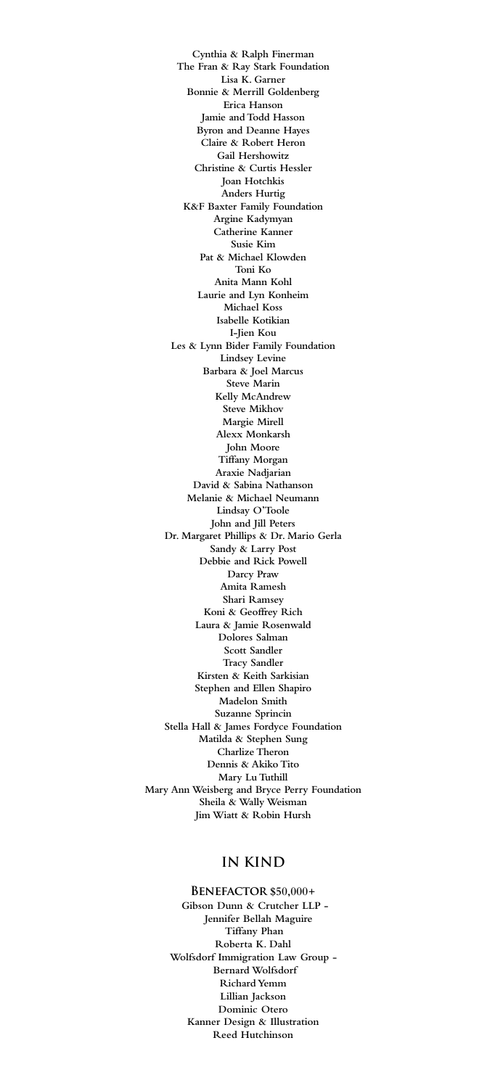**Cynthia & Ralph Finerman The Fran & Ray Stark Foundation Lisa K. Garner Bonnie & Merrill Goldenberg Erica Hanson Jamie and Todd Hasson Byron and Deanne Hayes Claire & Robert Heron Gail Hershowitz Christine & Curtis Hessler Joan Hotchkis Anders Hurtig K&F Baxter Family Foundation Argine Kadymyan Catherine Kanner Susie Kim Pat & Michael Klowden Toni Ko Anita Mann Kohl Laurie and Lyn Konheim Michael Koss Isabelle Kotikian I-Jien Kou Les & Lynn Bider Family Foundation Lindsey Levine Barbara & Joel Marcus Steve Marin Kelly McAndrew Steve Mikhov Margie Mirell Alexx Monkarsh John Moore Tiffany Morgan Araxie Nadjarian David & Sabina Nathanson Melanie & Michael Neumann Lindsay O'Toole John and Jill Peters Dr. Margaret Phillips & Dr. Mario Gerla Sandy & Larry Post Debbie and Rick Powell Darcy Praw Amita Ramesh Shari Ramsey Koni & Geoffrey Rich Laura & Jamie Rosenwald Dolores Salman Scott Sandler Tracy Sandler Kirsten & Keith Sarkisian Stephen and Ellen Shapiro Madelon Smith Suzanne Sprincin Stella Hall & James Fordyce Foundation Matilda & Stephen Sung Charlize Theron Dennis & Akiko Tito Mary Lu Tuthill Mary Ann Weisberg and Bryce Perry Foundation Sheila & Wally Weisman Jim Wiatt & Robin Hursh**

## **In Kind**

**Benefactor \$50,000+ Gibson Dunn & Crutcher LLP - Jennifer Bellah Maguire Tiffany Phan Roberta K. Dahl Wolfsdorf Immigration Law Group - Bernard Wolfsdorf Richard Yemm Lillian Jackson Dominic Otero Kanner Design & Illustration Reed Hutchinson**